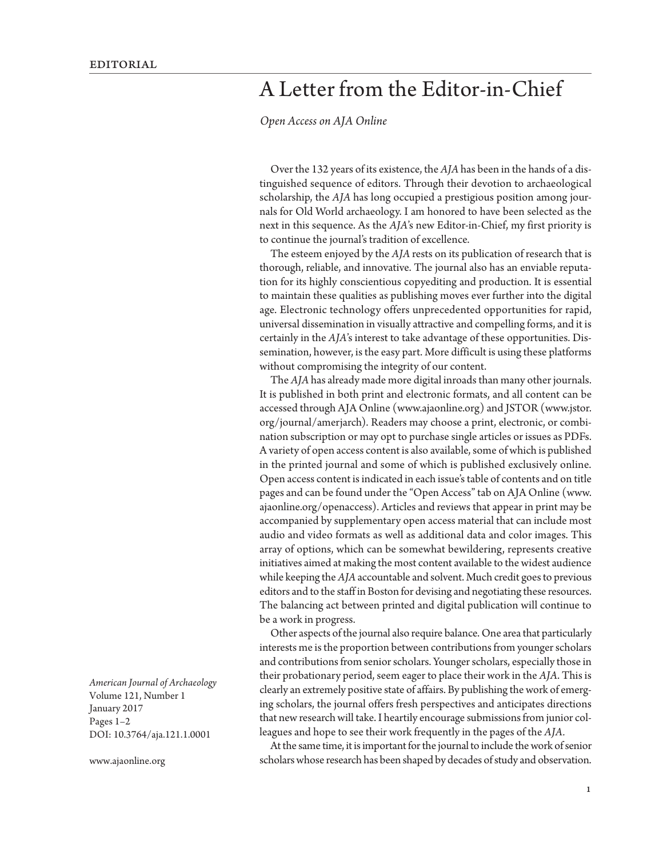## A Letter from the Editor-in-Chief

*[Open Access on AJA Online](http://www.ajaonline.org/node/3346)*

Over the 132 years of its existence, the *AJA* has been in the hands of a distinguished sequence of editors. Through their devotion to archaeological scholarship, the *AJA* has long occupied a prestigious position among journals for Old World archaeology. I am honored to have been selected as the next in this sequence. As the *AJA*'s new Editor-in-Chief, my first priority is to continue the journal's tradition of excellence.

The esteem enjoyed by the *AJA* rests on its publication of research that is thorough, reliable, and innovative. The journal also has an enviable reputation for its highly conscientious copyediting and production. It is essential to maintain these qualities as publishing moves ever further into the digital age. Electronic technology offers unprecedented opportunities for rapid, universal dissemination in visually attractive and compelling forms, and it is certainly in the *AJA*'s interest to take advantage of these opportunities. Dissemination, however, is the easy part. More difficult is using these platforms without compromising the integrity of our content.

The *AJA* has already made more digital inroads than many other journals. It is published in both print and electronic formats, and all content can be accessed through AJA Online ([www.ajaonline.org](http://www.ajaonline.org)) and JSTOR ([www.jstor.](http://www.jstor.org/journal/amerjarch) [org/journal/amerjarch\)](http://www.jstor.org/journal/amerjarch). Readers may choose a print, electronic, or combination subscription or may opt to purchase single articles or issues as PDFs. A variety of open access content is also available, some of which is published in the printed journal and some of which is published exclusively online. Open access content is indicated in each issue's table of contents and on title pages and can be found under the "Open Access" tab on AJA Online ([www.](http://www.ajaonline.org/openaccess) [ajaonline.org/openaccess\)](http://www.ajaonline.org/openaccess). Articles and reviews that appear in print may be accompanied by supplementary open access material that can include most audio and video formats as well as additional data and color images. This array of options, which can be somewhat bewildering, represents creative initiatives aimed at making the most content available to the widest audience while keeping the *AJA* accountable and solvent. Much credit goes to previous editors and to the staff in Boston for devising and negotiating these resources. The balancing act between printed and digital publication will continue to be a work in progress.

Other aspects of the journal also require balance. One area that particularly interests me is the proportion between contributions from younger scholars and contributions from senior scholars. Younger scholars, especially those in their probationary period, seem eager to place their work in the *AJA*. This is clearly an extremely positive state of affairs. By publishing the work of emerging scholars, the journal offers fresh perspectives and anticipates directions that new research will take. I heartily encourage submissions from junior colleagues and hope to see their work frequently in the pages of the *AJA.*

At the same time, it is important for the journal to include the work of senior scholars whose research has been shaped by decades of study and observation.

*American Journal of Archaeology* Volume 121, Number 1 January 2017 Pages 1–2 DOI: 10.3764/aja.121.1.0001

www.ajaonline.org